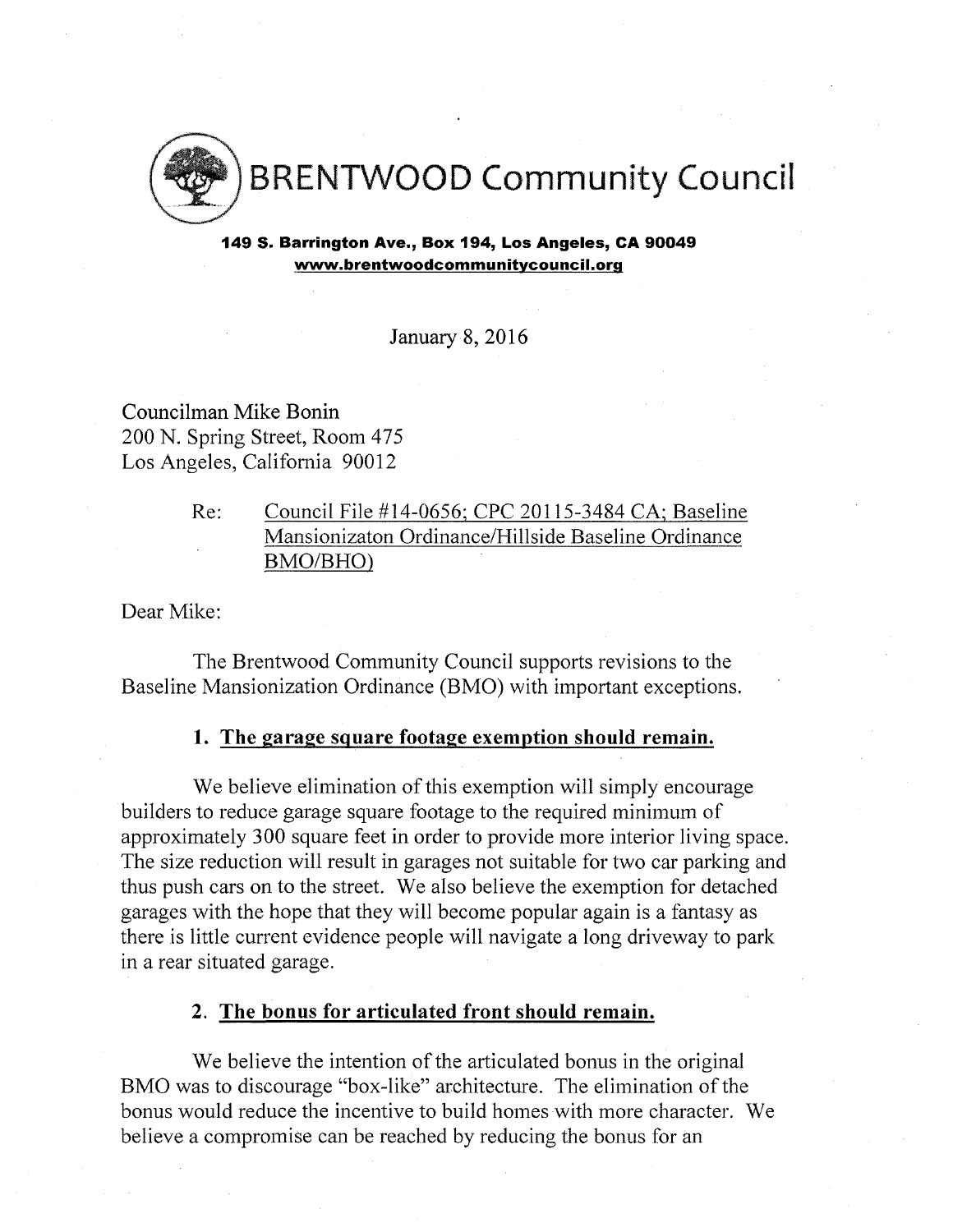

149 S. Barrington Ave., Box 194, Los Angeles, CA 90049 [www.brentwoodcommunitvcouncil.org](http://www.brentwoodcommunitvcouncil.org)

January 8, 2016

Councilman Mike Bonin 200 N. Spring Street, Room 475 Los Angeles, California 90012

# Re: Council File #14-0656: CPC 20115-3484 CA: Baseline Mansionizaton Ordinance/Hillside Baseline Ordinance BMO/BHO)

Dear Mike:

The Brentwood Community Council supports revisions to the Baseline Mansionization Ordinance (BMO) with important exceptions.

## **1. The garage square footage exemption should remain.**

We believe elimination of this exemption will simply encourage builders to reduce garage square footage to the required minimum of approximately 300 square feet in order to provide more interior living space. The size reduction will result in garages not suitable for two car parking and thus push cars on to the street. We also believe the exemption for detached garages with the hope that they will become popular again is a fantasy as there is little current evidence people will navigate a long driveway to park in a rear situated garage.

#### **2. The bonus for articulated front should remain.**

We believe the intention of the articulated bonus in the original BMO was to discourage "box-like" architecture. The elimination of the bonus would reduce the incentive to build homes with more character. We believe a compromise can be reached by reducing the bonus for an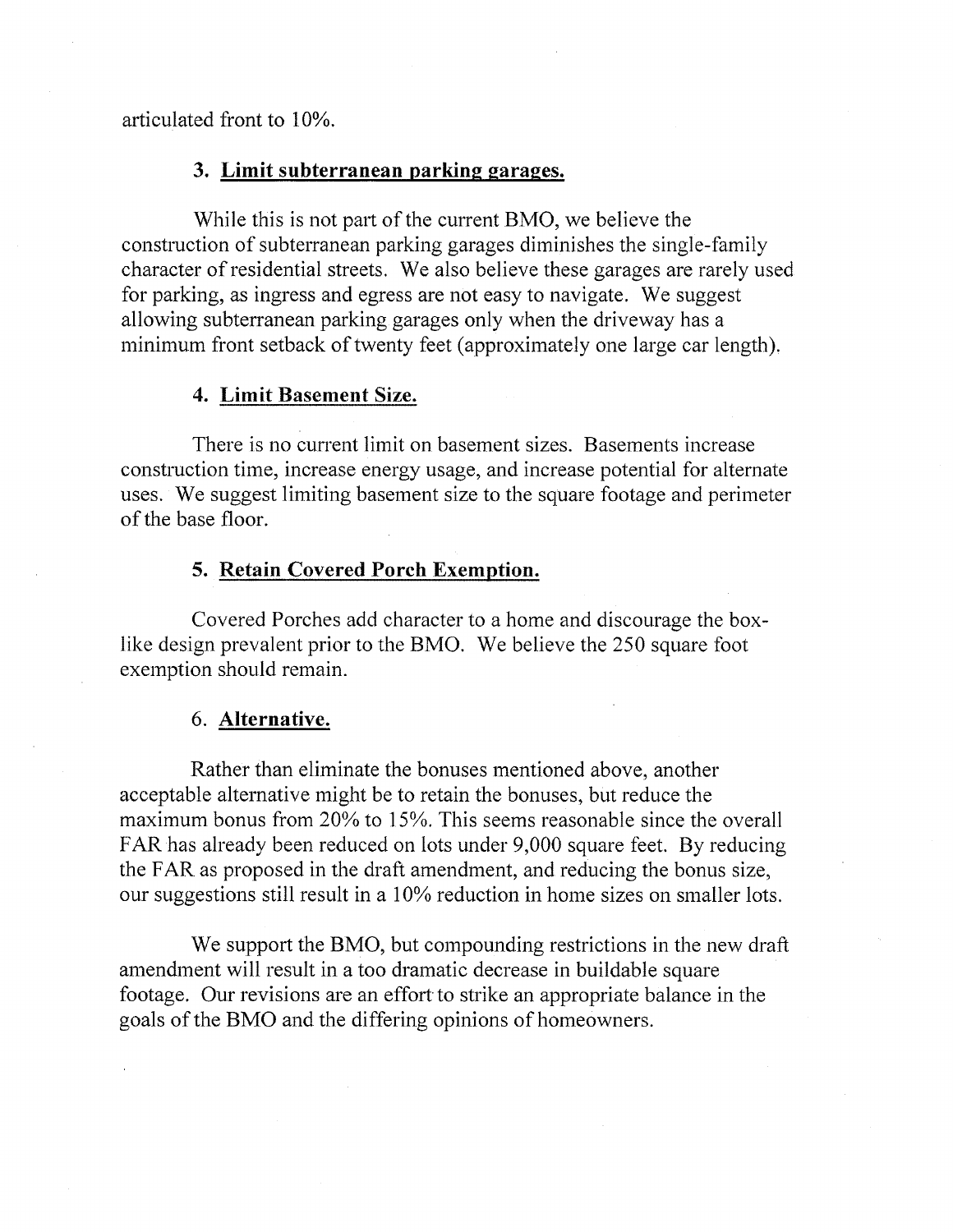articulated front to 10%.

#### **3. Limit subterranean parking garages.**

While this is not part of the current BMO, we believe the construction of subterranean parking garages diminishes the single-family character of residential streets. We also believe these garages are rarely used for parking, as ingress and egress are not easy to navigate. We suggest allowing subterranean parking garages only when the driveway has a minimum front setback of twenty feet (approximately one large car length).

#### **4. Limit Basement Size.**

There is no current limit on basement sizes. Basements increase construction time, increase energy usage, and increase potential for alternate uses. We suggest limiting basement size to the square footage and perimeter ofthe base floor.

# **5. Retain Covered Porch Exemption.**

Covered Porches add character to a home and discourage the boxlike design prevalent prior to the BMO. We believe the 250 square foot exemption should remain.

## **6. Alternative.**

Rather than eliminate the bonuses mentioned above, another acceptable alternative might be to retain the bonuses, but reduce the maximum bonus from 20% to 15%. This seems reasonable since the overall FAR has already been reduced on lots under 9,000 square feet. By reducing the FAR as proposed in the draft amendment, and reducing the bonus size, our suggestions still result in a 10% reduction in home sizes on smaller lots.

We support the BMO, but compounding restrictions in the new draft amendment will result in a too dramatic decrease in buildable square footage. Our revisions are an effort to strike an appropriate balance in the goals of the BMO and the differing opinions of homeowners.